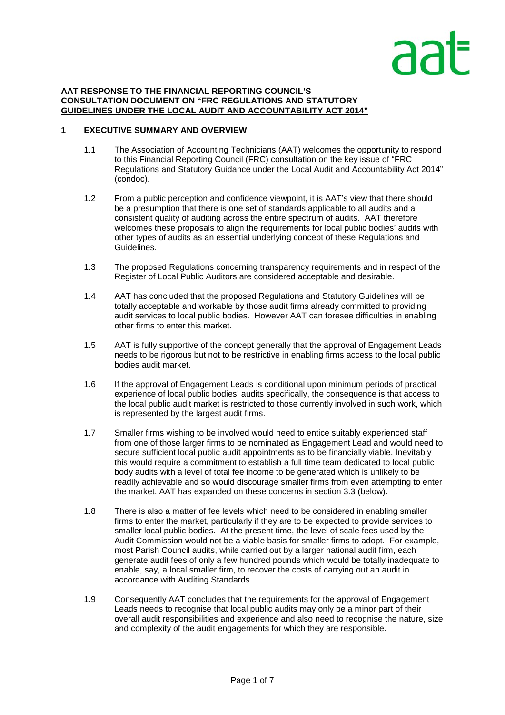# ลล

#### **AAT RESPONSE TO THE FINANCIAL REPORTING COUNCIL'S CONSULTATION DOCUMENT ON "FRC REGULATIONS AND STATUTORY GUIDELINES UNDER THE LOCAL AUDIT AND ACCOUNTABILITY ACT 2014"**

# **1 EXECUTIVE SUMMARY AND OVERVIEW**

- 1.1 The Association of Accounting Technicians (AAT) welcomes the opportunity to respond to this Financial Reporting Council (FRC) consultation on the key issue of "FRC Regulations and Statutory Guidance under the Local Audit and Accountability Act 2014" (condoc).
- 1.2 From a public perception and confidence viewpoint, it is AAT's view that there should be a presumption that there is one set of standards applicable to all audits and a consistent quality of auditing across the entire spectrum of audits. AAT therefore welcomes these proposals to align the requirements for local public bodies' audits with other types of audits as an essential underlying concept of these Regulations and Guidelines.
- 1.3 The proposed Regulations concerning transparency requirements and in respect of the Register of Local Public Auditors are considered acceptable and desirable.
- 1.4 AAT has concluded that the proposed Regulations and Statutory Guidelines will be totally acceptable and workable by those audit firms already committed to providing audit services to local public bodies. However AAT can foresee difficulties in enabling other firms to enter this market.
- 1.5 AAT is fully supportive of the concept generally that the approval of Engagement Leads needs to be rigorous but not to be restrictive in enabling firms access to the local public bodies audit market.
- 1.6 If the approval of Engagement Leads is conditional upon minimum periods of practical experience of local public bodies' audits specifically, the consequence is that access to the local public audit market is restricted to those currently involved in such work, which is represented by the largest audit firms.
- 1.7 Smaller firms wishing to be involved would need to entice suitably experienced staff from one of those larger firms to be nominated as Engagement Lead and would need to secure sufficient local public audit appointments as to be financially viable. Inevitably this would require a commitment to establish a full time team dedicated to local public body audits with a level of total fee income to be generated which is unlikely to be readily achievable and so would discourage smaller firms from even attempting to enter the market. AAT has expanded on these concerns in section 3.3 (below).
- 1.8 There is also a matter of fee levels which need to be considered in enabling smaller firms to enter the market, particularly if they are to be expected to provide services to smaller local public bodies. At the present time, the level of scale fees used by the Audit Commission would not be a viable basis for smaller firms to adopt. For example, most Parish Council audits, while carried out by a larger national audit firm, each generate audit fees of only a few hundred pounds which would be totally inadequate to enable, say, a local smaller firm, to recover the costs of carrying out an audit in accordance with Auditing Standards.
- 1.9 Consequently AAT concludes that the requirements for the approval of Engagement Leads needs to recognise that local public audits may only be a minor part of their overall audit responsibilities and experience and also need to recognise the nature, size and complexity of the audit engagements for which they are responsible.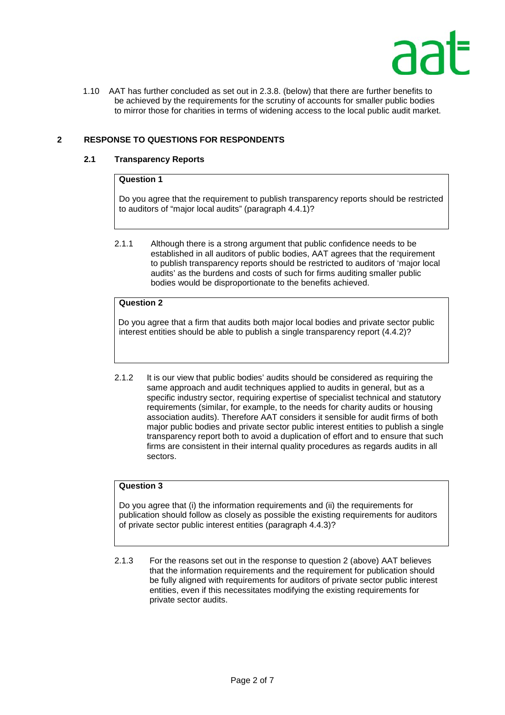

 1.10 AAT has further concluded as set out in 2.3.8. (below) that there are further benefits to be achieved by the requirements for the scrutiny of accounts for smaller public bodies to mirror those for charities in terms of widening access to the local public audit market.

# **2 RESPONSE TO QUESTIONS FOR RESPONDENTS**

## **2.1 Transparency Reports**

### **Question 1**

Do you agree that the requirement to publish transparency reports should be restricted to auditors of "major local audits" (paragraph 4.4.1)?

2.1.1 Although there is a strong argument that public confidence needs to be established in all auditors of public bodies, AAT agrees that the requirement to publish transparency reports should be restricted to auditors of 'major local audits' as the burdens and costs of such for firms auditing smaller public bodies would be disproportionate to the benefits achieved.

# **Question 2**

Do you agree that a firm that audits both major local bodies and private sector public interest entities should be able to publish a single transparency report (4.4.2)?

2.1.2 It is our view that public bodies' audits should be considered as requiring the same approach and audit techniques applied to audits in general, but as a specific industry sector, requiring expertise of specialist technical and statutory requirements (similar, for example, to the needs for charity audits or housing association audits). Therefore AAT considers it sensible for audit firms of both major public bodies and private sector public interest entities to publish a single transparency report both to avoid a duplication of effort and to ensure that such firms are consistent in their internal quality procedures as regards audits in all sectors.

## **Question 3**

Do you agree that (i) the information requirements and (ii) the requirements for publication should follow as closely as possible the existing requirements for auditors of private sector public interest entities (paragraph 4.4.3)?

2.1.3 For the reasons set out in the response to question 2 (above) AAT believes that the information requirements and the requirement for publication should be fully aligned with requirements for auditors of private sector public interest entities, even if this necessitates modifying the existing requirements for private sector audits.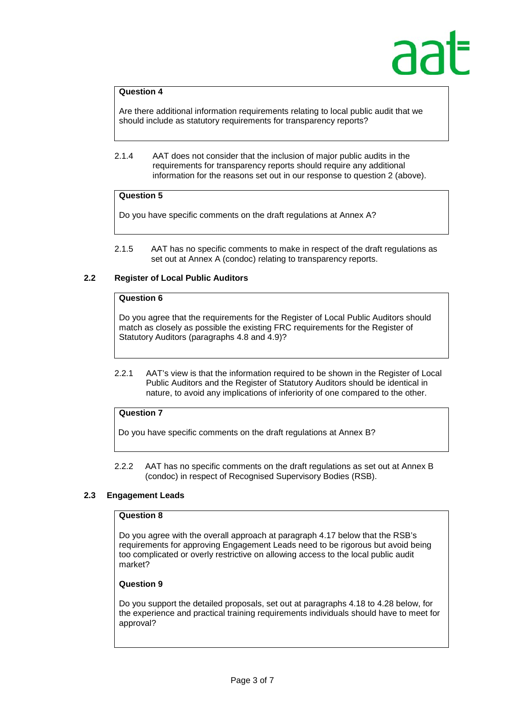# **Question 4**

Are there additional information requirements relating to local public audit that we should include as statutory requirements for transparency reports?

 2.1.4 AAT does not consider that the inclusion of major public audits in the requirements for transparency reports should require any additional information for the reasons set out in our response to question 2 (above).

# **Question 5**

Do you have specific comments on the draft regulations at Annex A?

2.1.5 AAT has no specific comments to make in respect of the draft regulations as set out at Annex A (condoc) relating to transparency reports.

# **2.2 Register of Local Public Auditors**

# **Question 6**

Do you agree that the requirements for the Register of Local Public Auditors should match as closely as possible the existing FRC requirements for the Register of Statutory Auditors (paragraphs 4.8 and 4.9)?

2.2.1 AAT's view is that the information required to be shown in the Register of Local Public Auditors and the Register of Statutory Auditors should be identical in nature, to avoid any implications of inferiority of one compared to the other.

# **Question 7**

Do you have specific comments on the draft regulations at Annex B?

2.2.2 AAT has no specific comments on the draft regulations as set out at Annex B (condoc) in respect of Recognised Supervisory Bodies (RSB).

# **2.3 Engagement Leads**

# **Question 8**

Do you agree with the overall approach at paragraph 4.17 below that the RSB's requirements for approving Engagement Leads need to be rigorous but avoid being too complicated or overly restrictive on allowing access to the local public audit market?

# **Question 9**

Do you support the detailed proposals, set out at paragraphs 4.18 to 4.28 below, for the experience and practical training requirements individuals should have to meet for approval?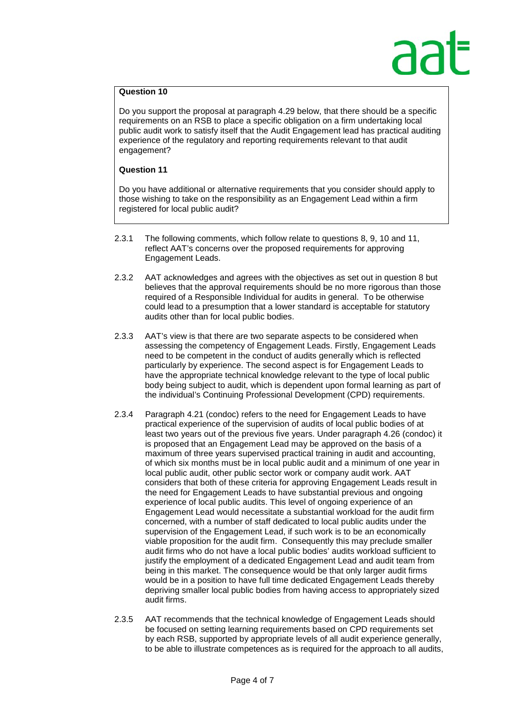# **Question 10**

Do you support the proposal at paragraph 4.29 below, that there should be a specific requirements on an RSB to place a specific obligation on a firm undertaking local public audit work to satisfy itself that the Audit Engagement lead has practical auditing experience of the regulatory and reporting requirements relevant to that audit engagement?

### **Question 11**

Do you have additional or alternative requirements that you consider should apply to those wishing to take on the responsibility as an Engagement Lead within a firm registered for local public audit?

- 2.3.1 The following comments, which follow relate to questions 8, 9, 10 and 11, reflect AAT's concerns over the proposed requirements for approving Engagement Leads.
- 2.3.2 AAT acknowledges and agrees with the objectives as set out in question 8 but believes that the approval requirements should be no more rigorous than those required of a Responsible Individual for audits in general. To be otherwise could lead to a presumption that a lower standard is acceptable for statutory audits other than for local public bodies.
- 2.3.3 AAT's view is that there are two separate aspects to be considered when assessing the competency of Engagement Leads. Firstly, Engagement Leads need to be competent in the conduct of audits generally which is reflected particularly by experience. The second aspect is for Engagement Leads to have the appropriate technical knowledge relevant to the type of local public body being subject to audit, which is dependent upon formal learning as part of the individual's Continuing Professional Development (CPD) requirements.
- 2.3.4 Paragraph 4.21 (condoc) refers to the need for Engagement Leads to have practical experience of the supervision of audits of local public bodies of at least two years out of the previous five years. Under paragraph 4.26 (condoc) it is proposed that an Engagement Lead may be approved on the basis of a maximum of three years supervised practical training in audit and accounting, of which six months must be in local public audit and a minimum of one year in local public audit, other public sector work or company audit work. AAT considers that both of these criteria for approving Engagement Leads result in the need for Engagement Leads to have substantial previous and ongoing experience of local public audits. This level of ongoing experience of an Engagement Lead would necessitate a substantial workload for the audit firm concerned, with a number of staff dedicated to local public audits under the supervision of the Engagement Lead, if such work is to be an economically viable proposition for the audit firm. Consequently this may preclude smaller audit firms who do not have a local public bodies' audits workload sufficient to justify the employment of a dedicated Engagement Lead and audit team from being in this market. The consequence would be that only larger audit firms would be in a position to have full time dedicated Engagement Leads thereby depriving smaller local public bodies from having access to appropriately sized audit firms.
- 2.3.5 AAT recommends that the technical knowledge of Engagement Leads should be focused on setting learning requirements based on CPD requirements set by each RSB, supported by appropriate levels of all audit experience generally, to be able to illustrate competences as is required for the approach to all audits,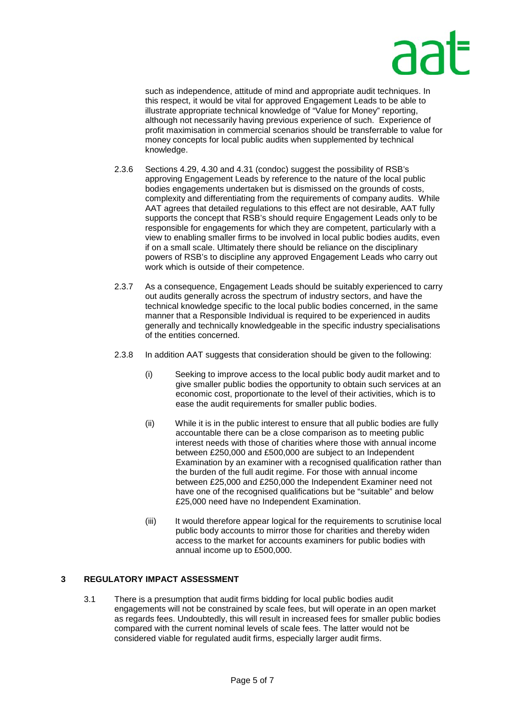

such as independence, attitude of mind and appropriate audit techniques. In this respect, it would be vital for approved Engagement Leads to be able to illustrate appropriate technical knowledge of "Value for Money" reporting, although not necessarily having previous experience of such. Experience of profit maximisation in commercial scenarios should be transferrable to value for money concepts for local public audits when supplemented by technical knowledge.

- 2.3.6 Sections 4.29, 4.30 and 4.31 (condoc) suggest the possibility of RSB's approving Engagement Leads by reference to the nature of the local public bodies engagements undertaken but is dismissed on the grounds of costs, complexity and differentiating from the requirements of company audits. While AAT agrees that detailed regulations to this effect are not desirable, AAT fully supports the concept that RSB's should require Engagement Leads only to be responsible for engagements for which they are competent, particularly with a view to enabling smaller firms to be involved in local public bodies audits, even if on a small scale. Ultimately there should be reliance on the disciplinary powers of RSB's to discipline any approved Engagement Leads who carry out work which is outside of their competence.
- 2.3.7 As a consequence, Engagement Leads should be suitably experienced to carry out audits generally across the spectrum of industry sectors, and have the technical knowledge specific to the local public bodies concerned, in the same manner that a Responsible Individual is required to be experienced in audits generally and technically knowledgeable in the specific industry specialisations of the entities concerned.
- 2.3.8 In addition AAT suggests that consideration should be given to the following:
	- (i) Seeking to improve access to the local public body audit market and to give smaller public bodies the opportunity to obtain such services at an economic cost, proportionate to the level of their activities, which is to ease the audit requirements for smaller public bodies.
	- (ii) While it is in the public interest to ensure that all public bodies are fully accountable there can be a close comparison as to meeting public interest needs with those of charities where those with annual income between £250,000 and £500,000 are subject to an Independent Examination by an examiner with a recognised qualification rather than the burden of the full audit regime. For those with annual income between £25,000 and £250,000 the Independent Examiner need not have one of the recognised qualifications but be "suitable" and below £25,000 need have no Independent Examination.
	- (iii) It would therefore appear logical for the requirements to scrutinise local public body accounts to mirror those for charities and thereby widen access to the market for accounts examiners for public bodies with annual income up to £500,000.

# **3 REGULATORY IMPACT ASSESSMENT**

3.1 There is a presumption that audit firms bidding for local public bodies audit engagements will not be constrained by scale fees, but will operate in an open market as regards fees. Undoubtedly, this will result in increased fees for smaller public bodies compared with the current nominal levels of scale fees. The latter would not be considered viable for regulated audit firms, especially larger audit firms.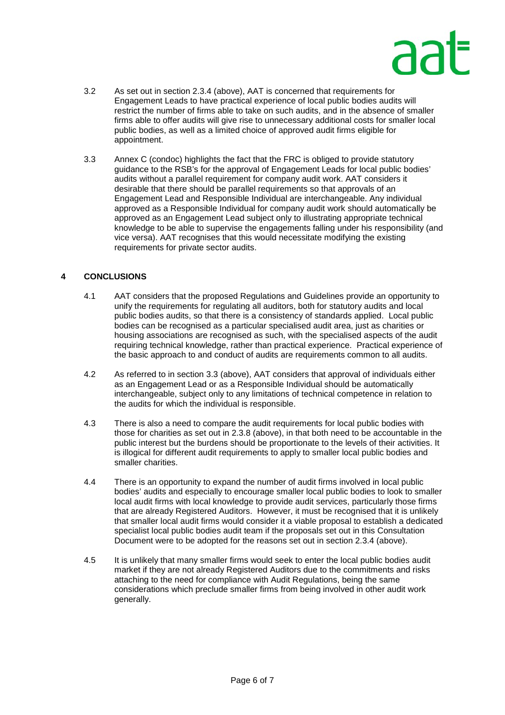# ลล

- 3.2 As set out in section 2.3.4 (above), AAT is concerned that requirements for Engagement Leads to have practical experience of local public bodies audits will restrict the number of firms able to take on such audits, and in the absence of smaller firms able to offer audits will give rise to unnecessary additional costs for smaller local public bodies, as well as a limited choice of approved audit firms eligible for appointment.
- 3.3 Annex C (condoc) highlights the fact that the FRC is obliged to provide statutory guidance to the RSB's for the approval of Engagement Leads for local public bodies' audits without a parallel requirement for company audit work. AAT considers it desirable that there should be parallel requirements so that approvals of an Engagement Lead and Responsible Individual are interchangeable. Any individual approved as a Responsible Individual for company audit work should automatically be approved as an Engagement Lead subject only to illustrating appropriate technical knowledge to be able to supervise the engagements falling under his responsibility (and vice versa). AAT recognises that this would necessitate modifying the existing requirements for private sector audits.

# **4 CONCLUSIONS**

- 4.1 AAT considers that the proposed Regulations and Guidelines provide an opportunity to unify the requirements for regulating all auditors, both for statutory audits and local public bodies audits, so that there is a consistency of standards applied. Local public bodies can be recognised as a particular specialised audit area, just as charities or housing associations are recognised as such, with the specialised aspects of the audit requiring technical knowledge, rather than practical experience. Practical experience of the basic approach to and conduct of audits are requirements common to all audits.
- 4.2 As referred to in section 3.3 (above), AAT considers that approval of individuals either as an Engagement Lead or as a Responsible Individual should be automatically interchangeable, subject only to any limitations of technical competence in relation to the audits for which the individual is responsible.
- 4.3 There is also a need to compare the audit requirements for local public bodies with those for charities as set out in 2.3.8 (above), in that both need to be accountable in the public interest but the burdens should be proportionate to the levels of their activities. It is illogical for different audit requirements to apply to smaller local public bodies and smaller charities.
- 4.4 There is an opportunity to expand the number of audit firms involved in local public bodies' audits and especially to encourage smaller local public bodies to look to smaller local audit firms with local knowledge to provide audit services, particularly those firms that are already Registered Auditors. However, it must be recognised that it is unlikely that smaller local audit firms would consider it a viable proposal to establish a dedicated specialist local public bodies audit team if the proposals set out in this Consultation Document were to be adopted for the reasons set out in section 2.3.4 (above).
- 4.5 It is unlikely that many smaller firms would seek to enter the local public bodies audit market if they are not already Registered Auditors due to the commitments and risks attaching to the need for compliance with Audit Regulations, being the same considerations which preclude smaller firms from being involved in other audit work generally.